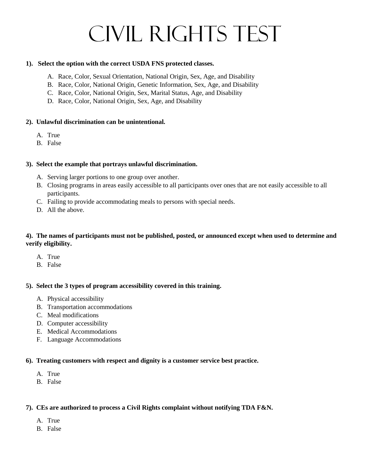# Civil Rights Test

#### **1). Select the option with the correct USDA FNS protected classes.**

- A. Race, Color, Sexual Orientation, National Origin, Sex, Age, and Disability
- B. Race, Color, National Origin, Genetic Information, Sex, Age, and Disability
- C. Race, Color, National Origin, Sex, Marital Status, Age, and Disability
- D. Race, Color, National Origin, Sex, Age, and Disability

#### **2). Unlawful discrimination can be unintentional.**

- A. True
- B. False

#### **3). Select the example that portrays unlawful discrimination.**

- A. Serving larger portions to one group over another.
- B. Closing programs in areas easily accessible to all participants over ones that are not easily accessible to all participants.
- C. Failing to provide accommodating meals to persons with special needs.
- D. All the above.

#### **4). The names of participants must not be published, posted, or announced except when used to determine and verify eligibility.**

- A. True
- B. False

#### **5). Select the 3 types of program accessibility covered in this training.**

- A. Physical accessibility
- B. Transportation accommodations
- C. Meal modifications
- D. Computer accessibility
- E. Medical Accommodations
- F. Language Accommodations

#### **6). Treating customers with respect and dignity is a customer service best practice.**

- A. True
- B. False

## **7). CEs are authorized to process a Civil Rights complaint without notifying TDA F&N.**

- A. True
- B. False